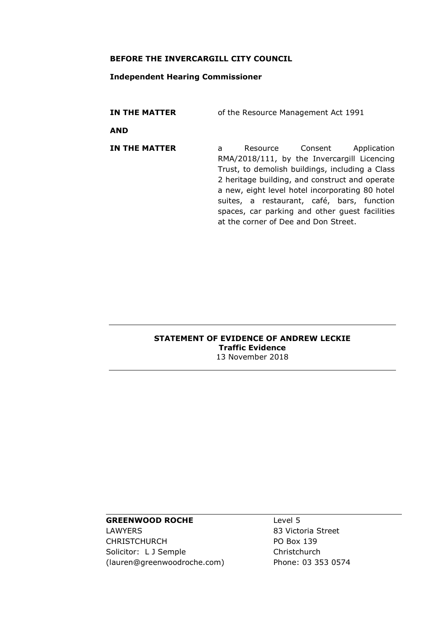#### **BEFORE THE INVERCARGILL CITY COUNCIL**

## **Independent Hearing Commissioner**

**IN THE MATTER** of the Resource Management Act 1991

**AND**

**IN THE MATTER** a Resource Consent Application RMA/2018/111, by the Invercargill Licencing Trust, to demolish buildings, including a Class 2 heritage building, and construct and operate a new, eight level hotel incorporating 80 hotel suites, a restaurant, café, bars, function spaces, car parking and other guest facilities at the corner of Dee and Don Street.

#### **STATEMENT OF EVIDENCE OF ANDREW LECKIE Traffic Evidence** 13 November 2018

# **GREENWOOD ROCHE**

LAWYERS CHRISTCHURCH Solicitor: L J Semple (lauren@greenwoodroche.com) Level 5 83 Victoria Street PO Box 139 **Christchurch** Phone: 03 353 0574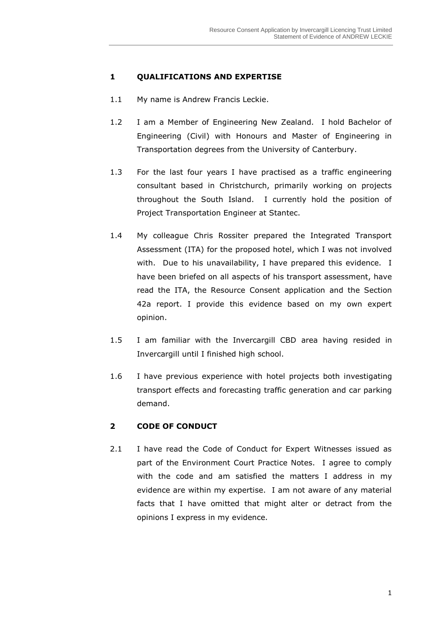# **1 QUALIFICATIONS AND EXPERTISE**

- 1.1 My name is Andrew Francis Leckie.
- 1.2 I am a Member of Engineering New Zealand. I hold Bachelor of Engineering (Civil) with Honours and Master of Engineering in Transportation degrees from the University of Canterbury.
- 1.3 For the last four years I have practised as a traffic engineering consultant based in Christchurch, primarily working on projects throughout the South Island. I currently hold the position of Project Transportation Engineer at Stantec.
- 1.4 My colleague Chris Rossiter prepared the Integrated Transport Assessment (ITA) for the proposed hotel, which I was not involved with. Due to his unavailability, I have prepared this evidence. I have been briefed on all aspects of his transport assessment, have read the ITA, the Resource Consent application and the Section 42a report. I provide this evidence based on my own expert opinion.
- 1.5 I am familiar with the Invercargill CBD area having resided in Invercargill until I finished high school.
- 1.6 I have previous experience with hotel projects both investigating transport effects and forecasting traffic generation and car parking demand.

# **2 CODE OF CONDUCT**

2.1 I have read the Code of Conduct for Expert Witnesses issued as part of the Environment Court Practice Notes. I agree to comply with the code and am satisfied the matters I address in my evidence are within my expertise. I am not aware of any material facts that I have omitted that might alter or detract from the opinions I express in my evidence.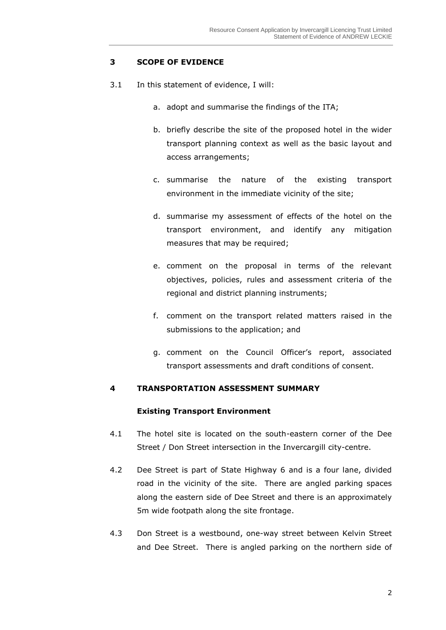## **3 SCOPE OF EVIDENCE**

- 3.1 In this statement of evidence, I will:
	- a. adopt and summarise the findings of the ITA;
	- b. briefly describe the site of the proposed hotel in the wider transport planning context as well as the basic layout and access arrangements;
	- c. summarise the nature of the existing transport environment in the immediate vicinity of the site;
	- d. summarise my assessment of effects of the hotel on the transport environment, and identify any mitigation measures that may be required;
	- e. comment on the proposal in terms of the relevant objectives, policies, rules and assessment criteria of the regional and district planning instruments;
	- f. comment on the transport related matters raised in the submissions to the application; and
	- g. comment on the Council Officer's report, associated transport assessments and draft conditions of consent.

#### **4 TRANSPORTATION ASSESSMENT SUMMARY**

#### **Existing Transport Environment**

- 4.1 The hotel site is located on the south-eastern corner of the Dee Street / Don Street intersection in the Invercargill city-centre.
- 4.2 Dee Street is part of State Highway 6 and is a four lane, divided road in the vicinity of the site. There are angled parking spaces along the eastern side of Dee Street and there is an approximately 5m wide footpath along the site frontage.
- 4.3 Don Street is a westbound, one-way street between Kelvin Street and Dee Street. There is angled parking on the northern side of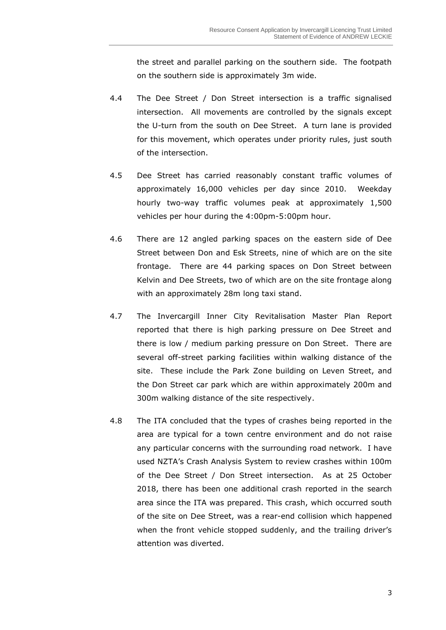the street and parallel parking on the southern side. The footpath on the southern side is approximately 3m wide.

- 4.4 The Dee Street / Don Street intersection is a traffic signalised intersection. All movements are controlled by the signals except the U-turn from the south on Dee Street. A turn lane is provided for this movement, which operates under priority rules, just south of the intersection.
- 4.5 Dee Street has carried reasonably constant traffic volumes of approximately 16,000 vehicles per day since 2010. Weekday hourly two-way traffic volumes peak at approximately 1,500 vehicles per hour during the 4:00pm-5:00pm hour.
- 4.6 There are 12 angled parking spaces on the eastern side of Dee Street between Don and Esk Streets, nine of which are on the site frontage. There are 44 parking spaces on Don Street between Kelvin and Dee Streets, two of which are on the site frontage along with an approximately 28m long taxi stand.
- 4.7 The Invercargill Inner City Revitalisation Master Plan Report reported that there is high parking pressure on Dee Street and there is low / medium parking pressure on Don Street. There are several off-street parking facilities within walking distance of the site. These include the Park Zone building on Leven Street, and the Don Street car park which are within approximately 200m and 300m walking distance of the site respectively.
- 4.8 The ITA concluded that the types of crashes being reported in the area are typical for a town centre environment and do not raise any particular concerns with the surrounding road network. I have used NZTA's Crash Analysis System to review crashes within 100m of the Dee Street / Don Street intersection. As at 25 October 2018, there has been one additional crash reported in the search area since the ITA was prepared. This crash, which occurred south of the site on Dee Street, was a rear-end collision which happened when the front vehicle stopped suddenly, and the trailing driver's attention was diverted.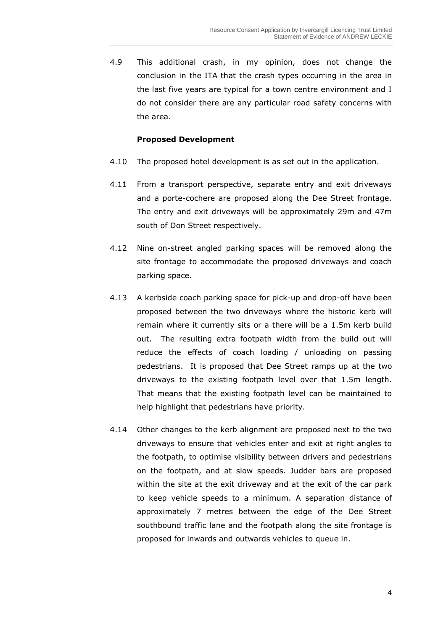4.9 This additional crash, in my opinion, does not change the conclusion in the ITA that the crash types occurring in the area in the last five years are typical for a town centre environment and I do not consider there are any particular road safety concerns with the area.

## **Proposed Development**

- 4.10 The proposed hotel development is as set out in the application.
- 4.11 From a transport perspective, separate entry and exit driveways and a porte-cochere are proposed along the Dee Street frontage. The entry and exit driveways will be approximately 29m and 47m south of Don Street respectively.
- 4.12 Nine on-street angled parking spaces will be removed along the site frontage to accommodate the proposed driveways and coach parking space.
- 4.13 A kerbside coach parking space for pick-up and drop-off have been proposed between the two driveways where the historic kerb will remain where it currently sits or a there will be a 1.5m kerb build out. The resulting extra footpath width from the build out will reduce the effects of coach loading / unloading on passing pedestrians. It is proposed that Dee Street ramps up at the two driveways to the existing footpath level over that 1.5m length. That means that the existing footpath level can be maintained to help highlight that pedestrians have priority.
- 4.14 Other changes to the kerb alignment are proposed next to the two driveways to ensure that vehicles enter and exit at right angles to the footpath, to optimise visibility between drivers and pedestrians on the footpath, and at slow speeds. Judder bars are proposed within the site at the exit driveway and at the exit of the car park to keep vehicle speeds to a minimum. A separation distance of approximately 7 metres between the edge of the Dee Street southbound traffic lane and the footpath along the site frontage is proposed for inwards and outwards vehicles to queue in.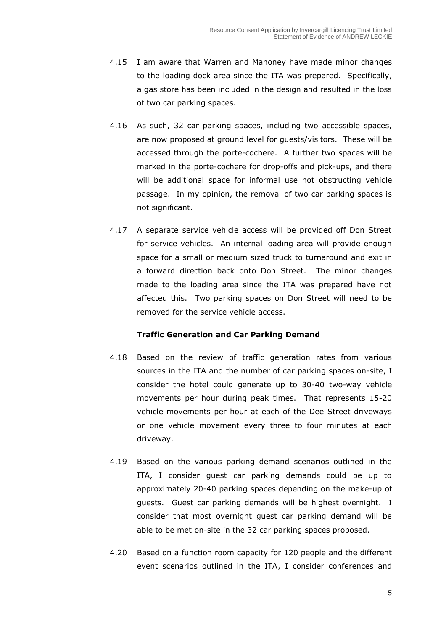- 4.15 I am aware that Warren and Mahoney have made minor changes to the loading dock area since the ITA was prepared. Specifically, a gas store has been included in the design and resulted in the loss of two car parking spaces.
- 4.16 As such, 32 car parking spaces, including two accessible spaces, are now proposed at ground level for guests/visitors. These will be accessed through the porte-cochere. A further two spaces will be marked in the porte-cochere for drop-offs and pick-ups, and there will be additional space for informal use not obstructing vehicle passage. In my opinion, the removal of two car parking spaces is not significant.
- 4.17 A separate service vehicle access will be provided off Don Street for service vehicles. An internal loading area will provide enough space for a small or medium sized truck to turnaround and exit in a forward direction back onto Don Street. The minor changes made to the loading area since the ITA was prepared have not affected this. Two parking spaces on Don Street will need to be removed for the service vehicle access.

#### **Traffic Generation and Car Parking Demand**

- 4.18 Based on the review of traffic generation rates from various sources in the ITA and the number of car parking spaces on-site, I consider the hotel could generate up to 30-40 two-way vehicle movements per hour during peak times. That represents 15-20 vehicle movements per hour at each of the Dee Street driveways or one vehicle movement every three to four minutes at each driveway.
- 4.19 Based on the various parking demand scenarios outlined in the ITA, I consider guest car parking demands could be up to approximately 20-40 parking spaces depending on the make-up of guests. Guest car parking demands will be highest overnight. I consider that most overnight guest car parking demand will be able to be met on-site in the 32 car parking spaces proposed.
- 4.20 Based on a function room capacity for 120 people and the different event scenarios outlined in the ITA, I consider conferences and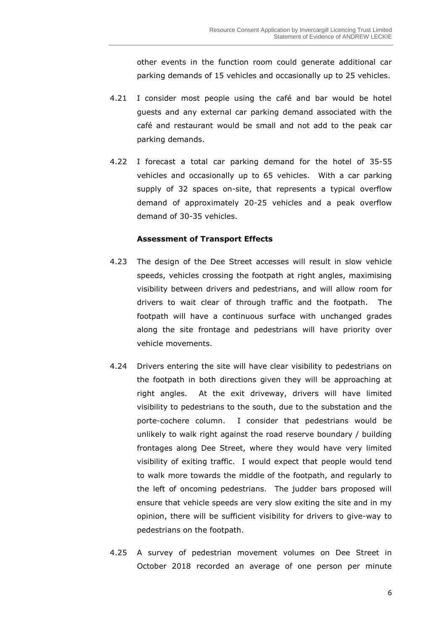other events in the function room could generate additional car parking demands of 15 vehicles and occasionally up to 25 vehicles.

- 4.21 I consider most people using the café and bar would be hotel guests and any external car parking demand associated with the café and restaurant would be small and not add to the peak car parking demands.
- 4.22 I forecast a total car parking demand for the hotel of 35-55 vehicles and occasionally up to 65 vehicles. With a car parking supply of 32 spaces on-site, that represents a typical overflow demand of approximately 20-25 vehicles and a peak overflow demand of 30-35 vehicles.

#### **Assessment of Transport Effects**

- 4.23 The design of the Dee Street accesses will result in slow vehicle speeds, vehicles crossing the footpath at right angles, maximising visibility between drivers and pedestrians, and will allow room for drivers to wait clear of through traffic and the footpath. The footpath will have a continuous surface with unchanged grades along the site frontage and pedestrians will have priority over vehicle movements.
- 4.24 Drivers entering the site will have clear visibility to pedestrians on the footpath in both directions given they will be approaching at right angles. At the exit driveway, drivers will have limited visibility to pedestrians to the south, due to the substation and the porte-cochere column. I consider that pedestrians would be unlikely to walk right against the road reserve boundary / building frontages along Dee Street, where they would have very limited visibility of exiting traffic. I would expect that people would tend to walk more towards the middle of the footpath, and regularly to the left of oncoming pedestrians. The judder bars proposed will ensure that vehicle speeds are very slow exiting the site and in my opinion, there will be sufficient visibility for drivers to give-way to pedestrians on the footpath.
- 4.25 A survey of pedestrian movement volumes on Dee Street in October 2018 recorded an average of one person per minute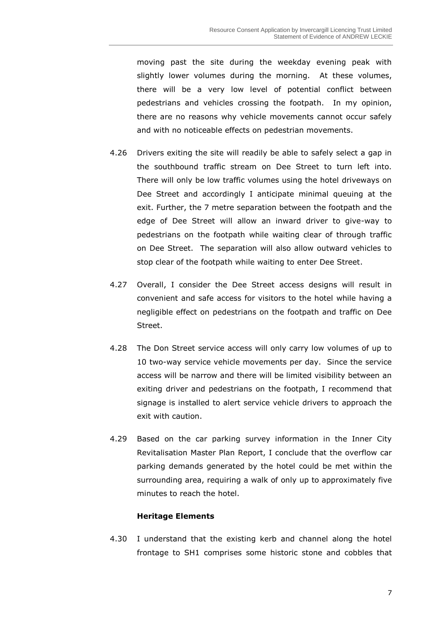moving past the site during the weekday evening peak with slightly lower volumes during the morning. At these volumes, there will be a very low level of potential conflict between pedestrians and vehicles crossing the footpath. In my opinion, there are no reasons why vehicle movements cannot occur safely and with no noticeable effects on pedestrian movements.

- 4.26 Drivers exiting the site will readily be able to safely select a gap in the southbound traffic stream on Dee Street to turn left into. There will only be low traffic volumes using the hotel driveways on Dee Street and accordingly I anticipate minimal queuing at the exit. Further, the 7 metre separation between the footpath and the edge of Dee Street will allow an inward driver to give-way to pedestrians on the footpath while waiting clear of through traffic on Dee Street. The separation will also allow outward vehicles to stop clear of the footpath while waiting to enter Dee Street.
- 4.27 Overall, I consider the Dee Street access designs will result in convenient and safe access for visitors to the hotel while having a negligible effect on pedestrians on the footpath and traffic on Dee Street.
- 4.28 The Don Street service access will only carry low volumes of up to 10 two-way service vehicle movements per day. Since the service access will be narrow and there will be limited visibility between an exiting driver and pedestrians on the footpath, I recommend that signage is installed to alert service vehicle drivers to approach the exit with caution.
- 4.29 Based on the car parking survey information in the Inner City Revitalisation Master Plan Report, I conclude that the overflow car parking demands generated by the hotel could be met within the surrounding area, requiring a walk of only up to approximately five minutes to reach the hotel.

#### **Heritage Elements**

4.30 I understand that the existing kerb and channel along the hotel frontage to SH1 comprises some historic stone and cobbles that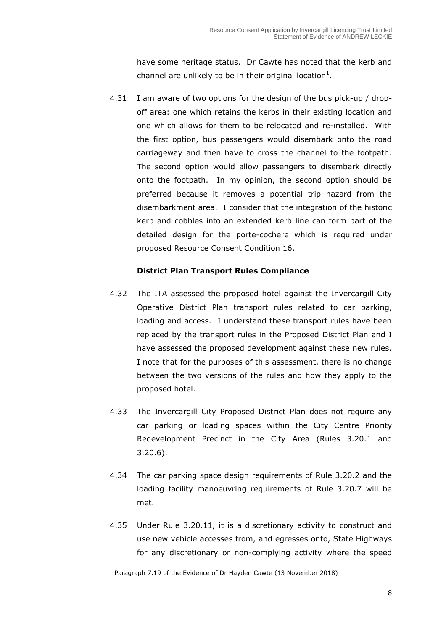have some heritage status. Dr Cawte has noted that the kerb and channel are unlikely to be in their original location<sup>1</sup>.

4.31 I am aware of two options for the design of the bus pick-up / dropoff area: one which retains the kerbs in their existing location and one which allows for them to be relocated and re-installed. With the first option, bus passengers would disembark onto the road carriageway and then have to cross the channel to the footpath. The second option would allow passengers to disembark directly onto the footpath. In my opinion, the second option should be preferred because it removes a potential trip hazard from the disembarkment area. I consider that the integration of the historic kerb and cobbles into an extended kerb line can form part of the detailed design for the porte-cochere which is required under proposed Resource Consent Condition 16.

## **District Plan Transport Rules Compliance**

- 4.32 The ITA assessed the proposed hotel against the Invercargill City Operative District Plan transport rules related to car parking, loading and access. I understand these transport rules have been replaced by the transport rules in the Proposed District Plan and I have assessed the proposed development against these new rules. I note that for the purposes of this assessment, there is no change between the two versions of the rules and how they apply to the proposed hotel.
- 4.33 The Invercargill City Proposed District Plan does not require any car parking or loading spaces within the City Centre Priority Redevelopment Precinct in the City Area (Rules 3.20.1 and 3.20.6).
- 4.34 The car parking space design requirements of Rule 3.20.2 and the loading facility manoeuvring requirements of Rule 3.20.7 will be met.
- 4.35 Under Rule 3.20.11, it is a discretionary activity to construct and use new vehicle accesses from, and egresses onto, State Highways for any discretionary or non-complying activity where the speed

 $\overline{a}$ <sup>1</sup> Paragraph 7.19 of the Evidence of Dr Hayden Cawte (13 November 2018)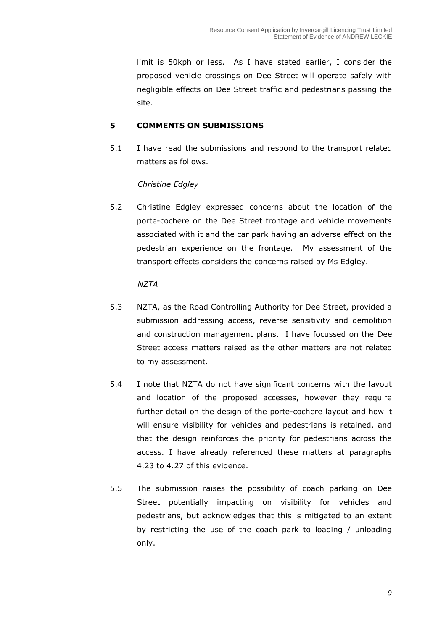limit is 50kph or less. As I have stated earlier, I consider the proposed vehicle crossings on Dee Street will operate safely with negligible effects on Dee Street traffic and pedestrians passing the site.

# **5 COMMENTS ON SUBMISSIONS**

5.1 I have read the submissions and respond to the transport related matters as follows.

*Christine Edgley* 

5.2 Christine Edgley expressed concerns about the location of the porte-cochere on the Dee Street frontage and vehicle movements associated with it and the car park having an adverse effect on the pedestrian experience on the frontage. My assessment of the transport effects considers the concerns raised by Ms Edgley.

#### *NZTA*

- 5.3 NZTA, as the Road Controlling Authority for Dee Street, provided a submission addressing access, reverse sensitivity and demolition and construction management plans. I have focussed on the Dee Street access matters raised as the other matters are not related to my assessment.
- 5.4 I note that NZTA do not have significant concerns with the layout and location of the proposed accesses, however they require further detail on the design of the porte-cochere layout and how it will ensure visibility for vehicles and pedestrians is retained, and that the design reinforces the priority for pedestrians across the access. I have already referenced these matters at paragraphs 4.23 to 4.27 of this evidence.
- 5.5 The submission raises the possibility of coach parking on Dee Street potentially impacting on visibility for vehicles and pedestrians, but acknowledges that this is mitigated to an extent by restricting the use of the coach park to loading / unloading only.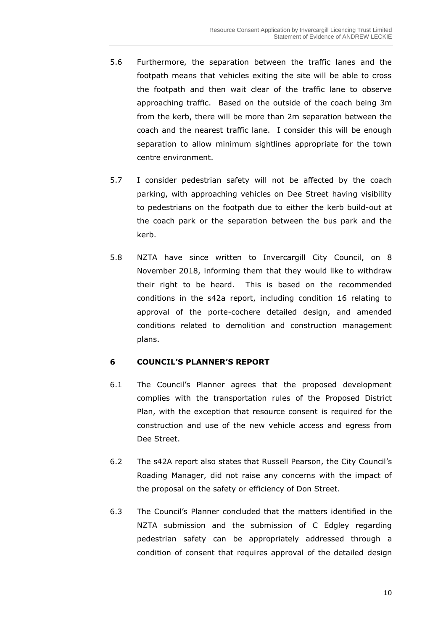- 5.6 Furthermore, the separation between the traffic lanes and the footpath means that vehicles exiting the site will be able to cross the footpath and then wait clear of the traffic lane to observe approaching traffic. Based on the outside of the coach being 3m from the kerb, there will be more than 2m separation between the coach and the nearest traffic lane. I consider this will be enough separation to allow minimum sightlines appropriate for the town centre environment.
- 5.7 I consider pedestrian safety will not be affected by the coach parking, with approaching vehicles on Dee Street having visibility to pedestrians on the footpath due to either the kerb build-out at the coach park or the separation between the bus park and the kerb.
- 5.8 NZTA have since written to Invercargill City Council, on 8 November 2018, informing them that they would like to withdraw their right to be heard. This is based on the recommended conditions in the s42a report, including condition 16 relating to approval of the porte-cochere detailed design, and amended conditions related to demolition and construction management plans.

# **6 COUNCIL'S PLANNER'S REPORT**

- 6.1 The Council's Planner agrees that the proposed development complies with the transportation rules of the Proposed District Plan, with the exception that resource consent is required for the construction and use of the new vehicle access and egress from Dee Street.
- 6.2 The s42A report also states that Russell Pearson, the City Council's Roading Manager, did not raise any concerns with the impact of the proposal on the safety or efficiency of Don Street.
- 6.3 The Council's Planner concluded that the matters identified in the NZTA submission and the submission of C Edgley regarding pedestrian safety can be appropriately addressed through a condition of consent that requires approval of the detailed design